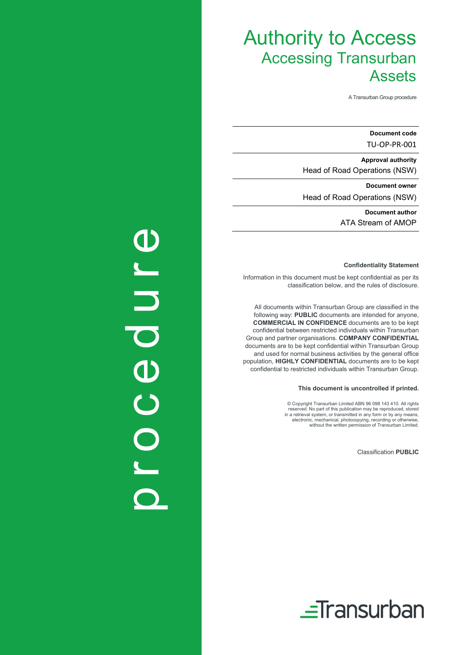A Transurban Group procedure

Document code TU-OP-PR-001

Approval authority Head of Road Operations (NSW)

Document owner Head of Road Operations (NSW)

> Document author ATA Stream of AMOP

#### Confidentiality Statement

Information in this document must be kept confidential as per its classification below, and the rules of disclosure.

All documents within Transurban Group are classified in the following way: PUBLIC documents are intended for anyone, COMMERCIAL IN CONFIDENCE documents are to be kept confidential between restricted individuals within Transurban Group and partner organisations. COMPANY CONFIDENTIAL documents are to be kept confidential within Transurban Group and used for normal business activities by the general office population, HIGHLY CONFIDENTIAL documents are to be kept confidential to restricted individuals within Transurban Group.

#### This document is uncontrolled if printed.

© Copyright Transurban Limited ABN 96 098 143 410. All rights reserved. No part of this publication may be reproduced, stored in a retrieval system, or transmitted in any form or by any means, electronic, mechanical, photocopying, recording or otherwise, without the written permission of Transurban Limited.

Classification PUBLIC



# Oroedure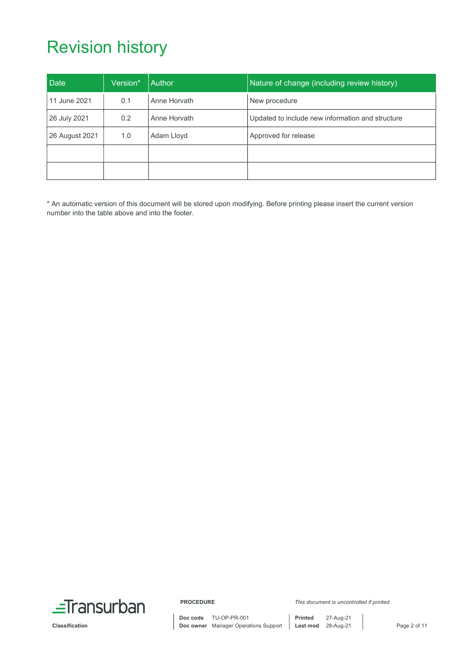# Revision history

| Date           | Version* | Author       | Nature of change (including review history)      |
|----------------|----------|--------------|--------------------------------------------------|
| 11 June 2021   | 0.1      | Anne Horvath | New procedure                                    |
| 26 July 2021   | 0.2      | Anne Horvath | Updated to include new information and structure |
| 26 August 2021 | 1.0      | Adam Lloyd   | Approved for release                             |
|                |          |              |                                                  |
|                |          |              |                                                  |

\* An automatic version of this document will be stored upon modifying. Before printing please insert the current version number into the table above and into the footer.

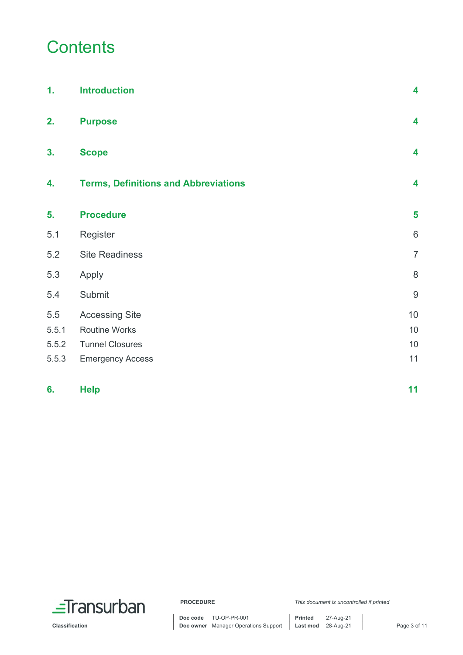## **Contents**

| 1.    | <b>Introduction</b>                         | 4                       |
|-------|---------------------------------------------|-------------------------|
| 2.    | <b>Purpose</b>                              | $\overline{\mathbf{4}}$ |
| 3.    | <b>Scope</b>                                | $\overline{\mathbf{4}}$ |
| 4.    | <b>Terms, Definitions and Abbreviations</b> | 4                       |
| 5.    | <b>Procedure</b>                            | 5                       |
| 5.1   | Register                                    | 6                       |
| 5.2   | <b>Site Readiness</b>                       | $\overline{7}$          |
| 5.3   | Apply                                       | $\,8\,$                 |
| 5.4   | Submit                                      | $\boldsymbol{9}$        |
| 5.5   | <b>Accessing Site</b>                       | 10                      |
| 5.5.1 | <b>Routine Works</b>                        | 10                      |
| 5.5.2 | <b>Tunnel Closures</b>                      | 10                      |
| 5.5.3 | <b>Emergency Access</b>                     | 11                      |
| 6.    | <b>Help</b>                                 | 11                      |

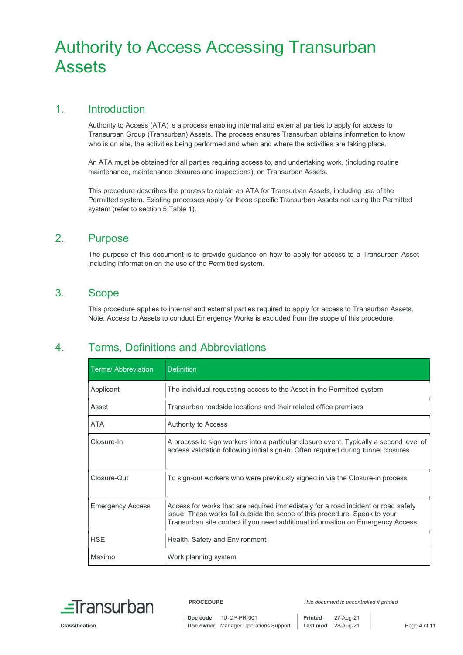## 1. Introduction

Authority to Access (ATA) is a process enabling internal and external parties to apply for access to Transurban Group (Transurban) Assets. The process ensures Transurban obtains information to know who is on site, the activities being performed and when and where the activities are taking place.

An ATA must be obtained for all parties requiring access to, and undertaking work, (including routine maintenance, maintenance closures and inspections), on Transurban Assets.

This procedure describes the process to obtain an ATA for Transurban Assets, including use of the Permitted system. Existing processes apply for those specific Transurban Assets not using the Permitted system (refer to section 5 Table 1).

## 2. Purpose

The purpose of this document is to provide guidance on how to apply for access to a Transurban Asset including information on the use of the Permitted system.

## 3. Scope

This procedure applies to internal and external parties required to apply for access to Transurban Assets. Note: Access to Assets to conduct Emergency Works is excluded from the scope of this procedure.

## 4. Terms, Definitions and Abbreviations

| <b>Terms/Abbreviation</b> | <b>Definition</b>                                                                                                                                                                                                                                  |
|---------------------------|----------------------------------------------------------------------------------------------------------------------------------------------------------------------------------------------------------------------------------------------------|
| Applicant                 | The individual requesting access to the Asset in the Permitted system                                                                                                                                                                              |
| Asset                     | Transurban roadside locations and their related office premises                                                                                                                                                                                    |
| ATA                       | Authority to Access                                                                                                                                                                                                                                |
| Closure-In                | A process to sign workers into a particular closure event. Typically a second level of<br>access validation following initial sign-in. Often required during tunnel closures                                                                       |
| Closure-Out               | To sign-out workers who were previously signed in via the Closure-in process                                                                                                                                                                       |
| <b>Emergency Access</b>   | Access for works that are required immediately for a road incident or road safety<br>issue. These works fall outside the scope of this procedure. Speak to your<br>Transurban site contact if you need additional information on Emergency Access. |
| <b>HSE</b>                | Health, Safety and Environment                                                                                                                                                                                                                     |
| Maximo                    | Work planning system                                                                                                                                                                                                                               |

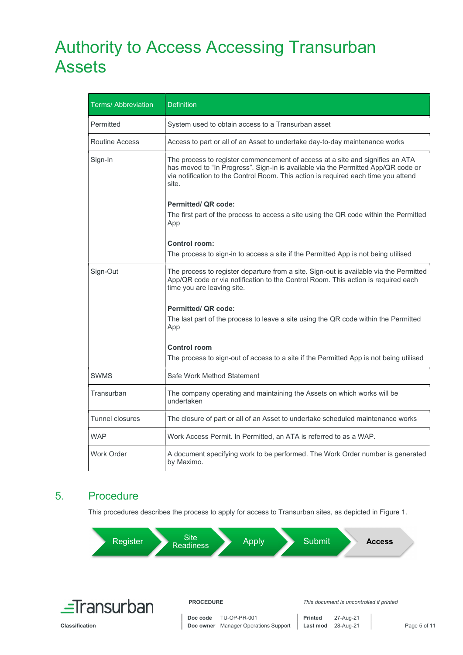| <b>Terms/ Abbreviation</b> | <b>Definition</b>                                                                                                                                                                                                                                                 |
|----------------------------|-------------------------------------------------------------------------------------------------------------------------------------------------------------------------------------------------------------------------------------------------------------------|
| Permitted                  | System used to obtain access to a Transurban asset                                                                                                                                                                                                                |
| <b>Routine Access</b>      | Access to part or all of an Asset to undertake day-to-day maintenance works                                                                                                                                                                                       |
| Sign-In                    | The process to register commencement of access at a site and signifies an ATA<br>has moved to "In Progress". Sign-in is available via the Permitted App/QR code or<br>via notification to the Control Room. This action is required each time you attend<br>site. |
|                            | <b>Permitted/ QR code:</b>                                                                                                                                                                                                                                        |
|                            | The first part of the process to access a site using the QR code within the Permitted<br>App                                                                                                                                                                      |
|                            | <b>Control room:</b>                                                                                                                                                                                                                                              |
|                            | The process to sign-in to access a site if the Permitted App is not being utilised                                                                                                                                                                                |
|                            |                                                                                                                                                                                                                                                                   |
| Sign-Out                   | The process to register departure from a site. Sign-out is available via the Permitted<br>App/QR code or via notification to the Control Room. This action is required each<br>time you are leaving site.                                                         |
|                            | <b>Permitted/ QR code:</b>                                                                                                                                                                                                                                        |
|                            | The last part of the process to leave a site using the QR code within the Permitted<br>App                                                                                                                                                                        |
|                            | <b>Control room</b>                                                                                                                                                                                                                                               |
|                            | The process to sign-out of access to a site if the Permitted App is not being utilised                                                                                                                                                                            |
| <b>SWMS</b>                | Safe Work Method Statement                                                                                                                                                                                                                                        |
| Transurban                 | The company operating and maintaining the Assets on which works will be<br>undertaken                                                                                                                                                                             |
| <b>Tunnel closures</b>     | The closure of part or all of an Asset to undertake scheduled maintenance works                                                                                                                                                                                   |
| <b>WAP</b>                 | Work Access Permit. In Permitted, an ATA is referred to as a WAP.                                                                                                                                                                                                 |
| <b>Work Order</b>          | A document specifying work to be performed. The Work Order number is generated<br>by Maximo.                                                                                                                                                                      |

## 5. Procedure

This procedures describes the process to apply for access to Transurban sites, as depicted in Figure 1.

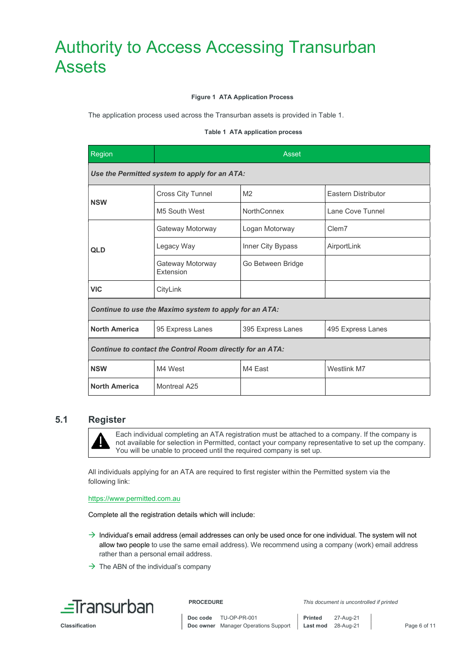#### Figure 1 ATA Application Process

The application process used across the Transurban assets is provided in Table 1.

#### Table 1 ATA application process

| Region                                                    | Asset                         |                    |                            |  |
|-----------------------------------------------------------|-------------------------------|--------------------|----------------------------|--|
| Use the Permitted system to apply for an ATA:             |                               |                    |                            |  |
| <b>NSW</b>                                                | <b>Cross City Tunnel</b>      | M <sub>2</sub>     | <b>Eastern Distributor</b> |  |
|                                                           | M5 South West                 | <b>NorthConnex</b> | Lane Cove Tunnel           |  |
| <b>QLD</b>                                                | Gateway Motorway              | Logan Motorway     | Clem7                      |  |
|                                                           | Legacy Way                    | Inner City Bypass  | AirportLink                |  |
|                                                           | Gateway Motorway<br>Extension | Go Between Bridge  |                            |  |
| <b>VIC</b>                                                | CityLink                      |                    |                            |  |
| Continue to use the Maximo system to apply for an ATA:    |                               |                    |                            |  |
| <b>North America</b>                                      | 95 Express Lanes              | 395 Express Lanes  | 495 Express Lanes          |  |
| Continue to contact the Control Room directly for an ATA: |                               |                    |                            |  |
| <b>NSW</b>                                                | M4 West                       | M4 East            | Westlink M7                |  |
| <b>North America</b>                                      | Montreal A25                  |                    |                            |  |

#### 5.1 Register



Each individual completing an ATA registration must be attached to a company. If the company is not available for selection in Permitted, contact your company representative to set up the company. You will be unable to proceed until the required company is set up.

All individuals applying for an ATA are required to first register within the Permitted system via the following link:

https://www.permitted.com.au

Complete all the registration details which will include:

- $\rightarrow$  Individual's email address (email addresses can only be used once for one individual. The system will not allow two people to use the same email address). We recommend using a company (work) email address rather than a personal email address.
- $\rightarrow$  The ABN of the individual's company



Classification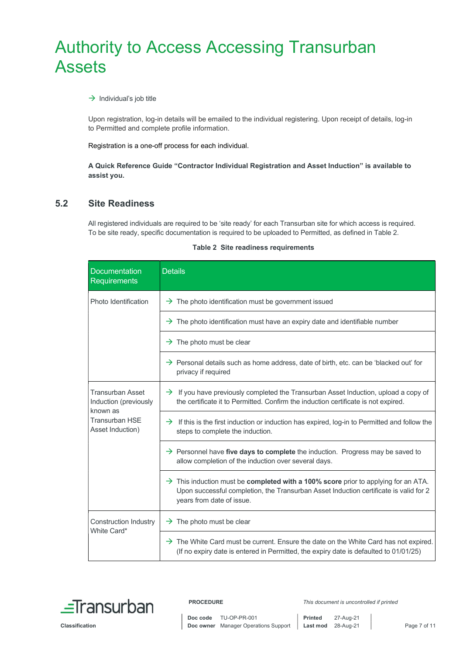#### $\rightarrow$  Individual's job title

Upon registration, log-in details will be emailed to the individual registering. Upon receipt of details, log-in to Permitted and complete profile information.

Registration is a one-off process for each individual.

A Quick Reference Guide "Contractor Individual Registration and Asset Induction" is available to assist you.

#### 5.2 Site Readiness

All registered individuals are required to be 'site ready' for each Transurban site for which access is required. To be site ready, specific documentation is required to be uploaded to Permitted, as defined in Table 2.

| <b>Documentation</b><br><b>Requirements</b>                                                               | <b>Details</b>                                                                                                                                                                                                              |
|-----------------------------------------------------------------------------------------------------------|-----------------------------------------------------------------------------------------------------------------------------------------------------------------------------------------------------------------------------|
| Photo Identification                                                                                      | $\rightarrow$ The photo identification must be government issued                                                                                                                                                            |
|                                                                                                           | $\rightarrow$ The photo identification must have an expiry date and identifiable number                                                                                                                                     |
|                                                                                                           | $\rightarrow$ The photo must be clear                                                                                                                                                                                       |
|                                                                                                           | $\rightarrow$ Personal details such as home address, date of birth, etc. can be 'blacked out' for<br>privacy if required                                                                                                    |
| <b>Transurban Asset</b><br>Induction (previously<br>known as<br><b>Transurban HSE</b><br>Asset Induction) | $\rightarrow$ If you have previously completed the Transurban Asset Induction, upload a copy of<br>the certificate it to Permitted. Confirm the induction certificate is not expired.                                       |
|                                                                                                           | $\rightarrow$ If this is the first induction or induction has expired, log-in to Permitted and follow the<br>steps to complete the induction.                                                                               |
|                                                                                                           | $\rightarrow$ Personnel have five days to complete the induction. Progress may be saved to<br>allow completion of the induction over several days.                                                                          |
|                                                                                                           | $\rightarrow$ This induction must be <b>completed with a 100% score</b> prior to applying for an ATA.<br>Upon successful completion, the Transurban Asset Induction certificate is valid for 2<br>years from date of issue. |
| <b>Construction Industry</b><br>White Card*                                                               | $\rightarrow$ The photo must be clear                                                                                                                                                                                       |
|                                                                                                           | $\rightarrow$ The White Card must be current. Ensure the date on the White Card has not expired.<br>(If no expiry date is entered in Permitted, the expiry date is defaulted to 01/01/25)                                   |

Table 2 Site readiness requirements

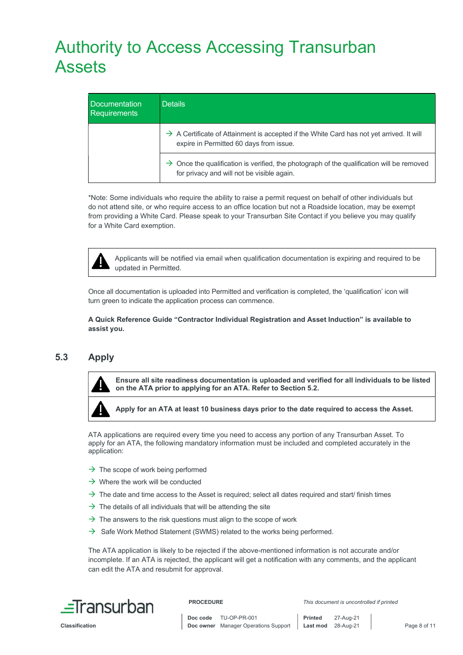| Documentation<br><b>Requirements</b> | <b>Details</b>                                                                                                                                      |
|--------------------------------------|-----------------------------------------------------------------------------------------------------------------------------------------------------|
|                                      | $\rightarrow$ A Certificate of Attainment is accepted if the White Card has not yet arrived. It will<br>expire in Permitted 60 days from issue.     |
|                                      | $\rightarrow$ Once the qualification is verified, the photograph of the qualification will be removed<br>for privacy and will not be visible again. |

\*Note: Some individuals who require the ability to raise a permit request on behalf of other individuals but do not attend site, or who require access to an office location but not a Roadside location, may be exempt from providing a White Card. Please speak to your Transurban Site Contact if you believe you may qualify for a White Card exemption.



Applicants will be notified via email when qualification documentation is expiring and required to be updated in Permitted.

Once all documentation is uploaded into Permitted and verification is completed, the 'qualification' icon will turn green to indicate the application process can commence.

A Quick Reference Guide "Contractor Individual Registration and Asset Induction" is available to assist you.

## 5.3 Apply



Ensure all site readiness documentation is uploaded and verified for all individuals to be listed on the ATA prior to applying for an ATA. Refer to Section 5.2.

Apply for an ATA at least 10 business days prior to the date required to access the Asset.

ATA applications are required every time you need to access any portion of any Transurban Asset. To apply for an ATA, the following mandatory information must be included and completed accurately in the application:

- $\rightarrow$  The scope of work being performed
- $\rightarrow$  Where the work will be conducted
- $\rightarrow$  The date and time access to the Asset is required; select all dates required and start/ finish times
- $\rightarrow$  The details of all individuals that will be attending the site
- $\rightarrow$  The answers to the risk questions must align to the scope of work
- $\rightarrow$  Safe Work Method Statement (SWMS) related to the works being performed.

The ATA application is likely to be rejected if the above-mentioned information is not accurate and/or incomplete. If an ATA is rejected, the applicant will get a notification with any comments, and the applicant can edit the ATA and resubmit for approval.



PROCEDURE This document is uncontrolled if printed

Classification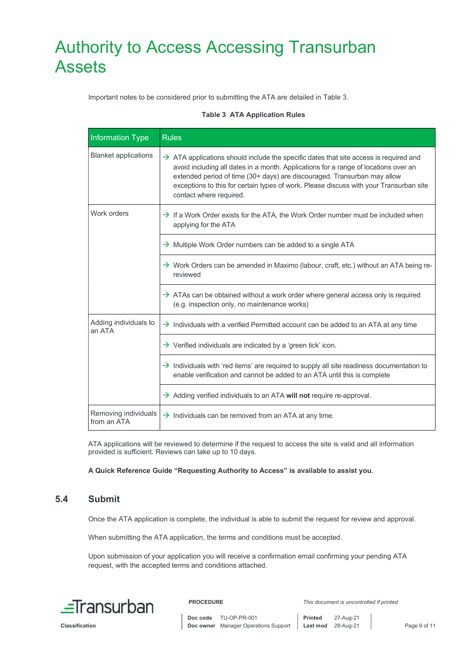Important notes to be considered prior to submitting the ATA are detailed in Table 3.

#### Table 3 ATA Application Rules

| <b>Information Type</b>             | <b>Rules</b>                                                                                                                                                                                                                                                                                                                                                                              |
|-------------------------------------|-------------------------------------------------------------------------------------------------------------------------------------------------------------------------------------------------------------------------------------------------------------------------------------------------------------------------------------------------------------------------------------------|
| <b>Blanket applications</b>         | $\rightarrow$ ATA applications should include the specific dates that site access is required and<br>avoid including all dates in a month. Applications for a range of locations over an<br>extended period of time (30+ days) are discouraged. Transurban may allow<br>exceptions to this for certain types of work. Please discuss with your Transurban site<br>contact where required. |
| Work orders                         | $\rightarrow$ If a Work Order exists for the ATA, the Work Order number must be included when<br>applying for the ATA                                                                                                                                                                                                                                                                     |
|                                     | $\rightarrow$ Multiple Work Order numbers can be added to a single ATA                                                                                                                                                                                                                                                                                                                    |
|                                     | $\rightarrow$ Work Orders can be amended in Maximo (labour, craft, etc.) without an ATA being re-<br>reviewed                                                                                                                                                                                                                                                                             |
|                                     | $\rightarrow$ ATAs can be obtained without a work order where general access only is required<br>(e.g. inspection only, no maintenance works)                                                                                                                                                                                                                                             |
| Adding individuals to<br>an ATA     | $\rightarrow$ Individuals with a verified Permitted account can be added to an ATA at any time                                                                                                                                                                                                                                                                                            |
|                                     | $\rightarrow$ Verified individuals are indicated by a 'green tick' icon.                                                                                                                                                                                                                                                                                                                  |
|                                     | $\rightarrow$ Individuals with 'red items' are required to supply all site readiness documentation to<br>enable verification and cannot be added to an ATA until this is complete                                                                                                                                                                                                         |
|                                     | $\rightarrow$ Adding verified individuals to an ATA will not require re-approval.                                                                                                                                                                                                                                                                                                         |
| Removing individuals<br>from an ATA | $\rightarrow$ Individuals can be removed from an ATA at any time.                                                                                                                                                                                                                                                                                                                         |

ATA applications will be reviewed to determine if the request to access the site is valid and all information provided is sufficient. Reviews can take up to 10 days.

A Quick Reference Guide "Requesting Authority to Access" is available to assist you.

## 5.4 Submit

Once the ATA application is complete, the individual is able to submit the request for review and approval.

When submitting the ATA application, the terms and conditions must be accepted.

Upon submission of your application you will receive a confirmation email confirming your pending ATA request, with the accepted terms and conditions attached.



Classification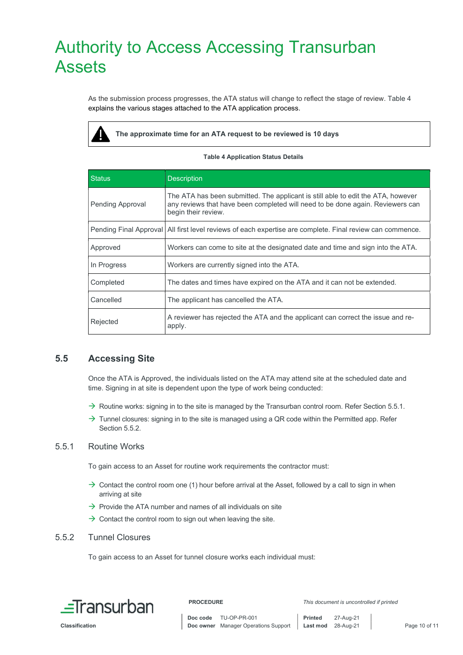As the submission process progresses, the ATA status will change to reflect the stage of review. Table 4 explains the various stages attached to the ATA application process.



The approximate time for an ATA request to be reviewed is 10 days

#### Table 4 Application Status Details

| <b>Status</b>           | <b>Description</b>                                                                                                                                                                        |
|-------------------------|-------------------------------------------------------------------------------------------------------------------------------------------------------------------------------------------|
| <b>Pending Approval</b> | The ATA has been submitted. The applicant is still able to edit the ATA, however<br>any reviews that have been completed will need to be done again. Reviewers can<br>begin their review. |
|                         | Pending Final Approval   All first level reviews of each expertise are complete. Final review can commence.                                                                               |
| Approved                | Workers can come to site at the designated date and time and sign into the ATA.                                                                                                           |
| In Progress             | Workers are currently signed into the ATA.                                                                                                                                                |
| Completed               | The dates and times have expired on the ATA and it can not be extended.                                                                                                                   |
| Cancelled               | The applicant has cancelled the ATA.                                                                                                                                                      |
| Rejected                | A reviewer has rejected the ATA and the applicant can correct the issue and re-<br>apply.                                                                                                 |

## 5.5 Accessing Site

Once the ATA is Approved, the individuals listed on the ATA may attend site at the scheduled date and time. Signing in at site is dependent upon the type of work being conducted:

- $\rightarrow$  Routine works: signing in to the site is managed by the Transurban control room. Refer Section 5.5.1.
- $\rightarrow$  Tunnel closures: signing in to the site is managed using a QR code within the Permitted app. Refer Section 5.5.2.

#### 5.5.1 Routine Works

To gain access to an Asset for routine work requirements the contractor must:

- $\rightarrow$  Contact the control room one (1) hour before arrival at the Asset, followed by a call to sign in when arriving at site
- $\rightarrow$  Provide the ATA number and names of all individuals on site
- $\rightarrow$  Contact the control room to sign out when leaving the site.

#### 5.5.2 Tunnel Closures

To gain access to an Asset for tunnel closure works each individual must: